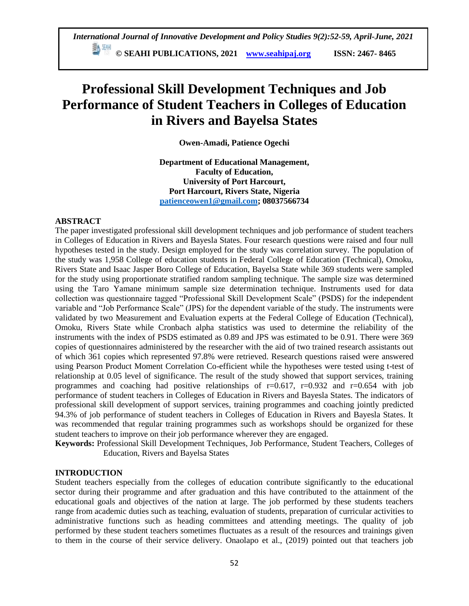# **Professional Skill Development Techniques and Job Performance of Student Teachers in Colleges of Education in Rivers and Bayelsa States**

**Owen-Amadi, Patience Ogechi**

**Department of Educational Management, Faculty of Education, University of Port Harcourt, Port Harcourt, Rivers State, Nigeria [patienceowen1@gmail.com;](mailto:patienceowen1@gmail.com) 08037566734**

# **ABSTRACT**

The paper investigated professional skill development techniques and job performance of student teachers in Colleges of Education in Rivers and Bayesla States. Four research questions were raised and four null hypotheses tested in the study. Design employed for the study was correlation survey. The population of the study was 1,958 College of education students in Federal College of Education (Technical), Omoku, Rivers State and Isaac Jasper Boro College of Education, Bayelsa State while 369 students were sampled for the study using proportionate stratified random sampling technique. The sample size was determined using the Taro Yamane minimum sample size determination technique. Instruments used for data collection was questionnaire tagged "Professional Skill Development Scale" (PSDS) for the independent variable and "Job Performance Scale" (JPS) for the dependent variable of the study. The instruments were validated by two Measurement and Evaluation experts at the Federal College of Education (Technical), Omoku, Rivers State while Cronbach alpha statistics was used to determine the reliability of the instruments with the index of PSDS estimated as 0.89 and JPS was estimated to be 0.91. There were 369 copies of questionnaires administered by the researcher with the aid of two trained research assistants out of which 361 copies which represented 97.8% were retrieved. Research questions raised were answered using Pearson Product Moment Correlation Co-efficient while the hypotheses were tested using t-test of relationship at 0.05 level of significance. The result of the study showed that support services, training programmes and coaching had positive relationships of  $r=0.617$ ,  $r=0.932$  and  $r=0.654$  with job performance of student teachers in Colleges of Education in Rivers and Bayesla States. The indicators of professional skill development of support services, training programmes and coaching jointly predicted 94.3% of job performance of student teachers in Colleges of Education in Rivers and Bayesla States. It was recommended that regular training programmes such as workshops should be organized for these student teachers to improve on their job performance wherever they are engaged.

**Keywords:** Professional Skill Development Techniques, Job Performance, Student Teachers, Colleges of Education, Rivers and Bayelsa States

# **INTRODUCTION**

Student teachers especially from the colleges of education contribute significantly to the educational sector during their programme and after graduation and this have contributed to the attainment of the educational goals and objectives of the nation at large. The job performed by these students teachers range from academic duties such as teaching, evaluation of students, preparation of curricular activities to administrative functions such as heading committees and attending meetings. The quality of job performed by these student teachers sometimes fluctuates as a result of the resources and trainings given to them in the course of their service delivery. Onaolapo et al., (2019) pointed out that teachers job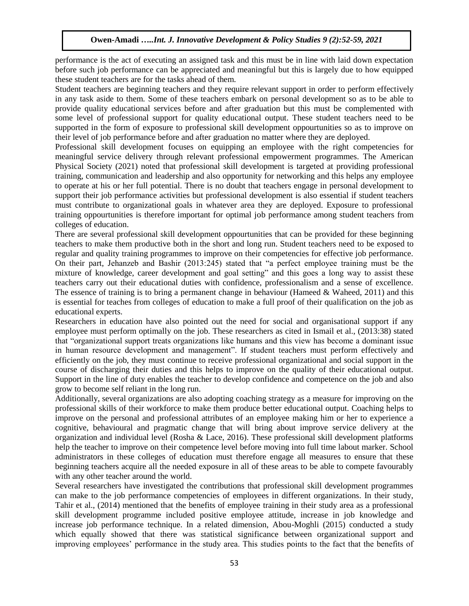performance is the act of executing an assigned task and this must be in line with laid down expectation before such job performance can be appreciated and meaningful but this is largely due to how equipped these student teachers are for the tasks ahead of them.

Student teachers are beginning teachers and they require relevant support in order to perform effectively in any task aside to them. Some of these teachers embark on personal development so as to be able to provide quality educational services before and after graduation but this must be complemented with some level of professional support for quality educational output. These student teachers need to be supported in the form of exposure to professional skill development oppourtunities so as to improve on their level of job performance before and after graduation no matter where they are deployed.

Professional skill development focuses on equipping an employee with the right competencies for meaningful service delivery through relevant professional empowerment programmes. The American Physical Society (2021) noted that professional skill development is targeted at providing professional training, communication and leadership and also opportunity for networking and this helps any employee to operate at his or her full potential. There is no doubt that teachers engage in personal development to support their job performance activities but professional development is also essential if student teachers must contribute to organizational goals in whatever area they are deployed. Exposure to professional training oppourtunities is therefore important for optimal job performance among student teachers from colleges of education.

There are several professional skill development oppourtunities that can be provided for these beginning teachers to make them productive both in the short and long run. Student teachers need to be exposed to regular and quality training programmes to improve on their competencies for effective job performance. On their part, Jehanzeb and Bashir (2013:245) stated that "a perfect employee training must be the mixture of knowledge, career development and goal setting" and this goes a long way to assist these teachers carry out their educational duties with confidence, professionalism and a sense of excellence. The essence of training is to bring a permanent change in behaviour (Hameed & Waheed, 2011) and this is essential for teaches from colleges of education to make a full proof of their qualification on the job as educational experts.

Researchers in education have also pointed out the need for social and organisational support if any employee must perform optimally on the job. These researchers as cited in Ismail et al., (2013:38) stated that "organizational support treats organizations like humans and this view has become a dominant issue in human resource development and management". If student teachers must perform effectively and efficiently on the job, they must continue to receive professional organizational and social support in the course of discharging their duties and this helps to improve on the quality of their educational output. Support in the line of duty enables the teacher to develop confidence and competence on the job and also grow to become self reliant in the long run.

Additionally, several organizations are also adopting coaching strategy as a measure for improving on the professional skills of their workforce to make them produce better educational output. Coaching helps to improve on the personal and professional attributes of an employee making him or her to experience a cognitive, behavioural and pragmatic change that will bring about improve service delivery at the organization and individual level (Rosha & Lace, 2016). These professional skill development platforms help the teacher to improve on their competence level before moving into full time labout marker. School administrators in these colleges of education must therefore engage all measures to ensure that these beginning teachers acquire all the needed exposure in all of these areas to be able to compete favourably with any other teacher around the world.

Several researchers have investigated the contributions that professional skill development programmes can make to the job performance competencies of employees in different organizations. In their study, Tahir et al., (2014) mentioned that the benefits of employee training in their study area as a professional skill development programme included positive employee attitude, increase in job knowledge and increase job performance technique. In a related dimension, Abou-Moghli (2015) conducted a study which equally showed that there was statistical significance between organizational support and improving employees' performance in the study area. This studies points to the fact that the benefits of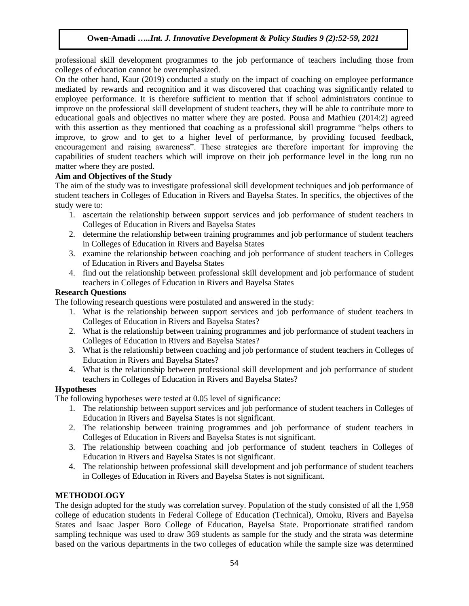professional skill development programmes to the job performance of teachers including those from colleges of education cannot be overemphasized.

On the other hand, Kaur (2019) conducted a study on the impact of coaching on employee performance mediated by rewards and recognition and it was discovered that coaching was significantly related to employee performance. It is therefore sufficient to mention that if school administrators continue to improve on the professional skill development of student teachers, they will be able to contribute more to educational goals and objectives no matter where they are posted. Pousa and Mathieu (2014:2) agreed with this assertion as they mentioned that coaching as a professional skill programme "helps others to improve, to grow and to get to a higher level of performance, by providing focused feedback, encouragement and raising awareness". These strategies are therefore important for improving the capabilities of student teachers which will improve on their job performance level in the long run no matter where they are posted.

# **Aim and Objectives of the Study**

The aim of the study was to investigate professional skill development techniques and job performance of student teachers in Colleges of Education in Rivers and Bayelsa States. In specifics, the objectives of the study were to:

- 1. ascertain the relationship between support services and job performance of student teachers in Colleges of Education in Rivers and Bayelsa States
- 2. determine the relationship between training programmes and job performance of student teachers in Colleges of Education in Rivers and Bayelsa States
- 3. examine the relationship between coaching and job performance of student teachers in Colleges of Education in Rivers and Bayelsa States
- 4. find out the relationship between professional skill development and job performance of student teachers in Colleges of Education in Rivers and Bayelsa States

# **Research Questions**

The following research questions were postulated and answered in the study:

- 1. What is the relationship between support services and job performance of student teachers in Colleges of Education in Rivers and Bayelsa States?
- 2. What is the relationship between training programmes and job performance of student teachers in Colleges of Education in Rivers and Bayelsa States?
- 3. What is the relationship between coaching and job performance of student teachers in Colleges of Education in Rivers and Bayelsa States?
- 4. What is the relationship between professional skill development and job performance of student teachers in Colleges of Education in Rivers and Bayelsa States?

# **Hypotheses**

The following hypotheses were tested at 0.05 level of significance:

- 1. The relationship between support services and job performance of student teachers in Colleges of Education in Rivers and Bayelsa States is not significant.
- 2. The relationship between training programmes and job performance of student teachers in Colleges of Education in Rivers and Bayelsa States is not significant.
- 3. The relationship between coaching and job performance of student teachers in Colleges of Education in Rivers and Bayelsa States is not significant.
- 4. The relationship between professional skill development and job performance of student teachers in Colleges of Education in Rivers and Bayelsa States is not significant.

# **METHODOLOGY**

The design adopted for the study was correlation survey. Population of the study consisted of all the 1,958 college of education students in Federal College of Education (Technical), Omoku, Rivers and Bayelsa States and Isaac Jasper Boro College of Education, Bayelsa State. Proportionate stratified random sampling technique was used to draw 369 students as sample for the study and the strata was determine based on the various departments in the two colleges of education while the sample size was determined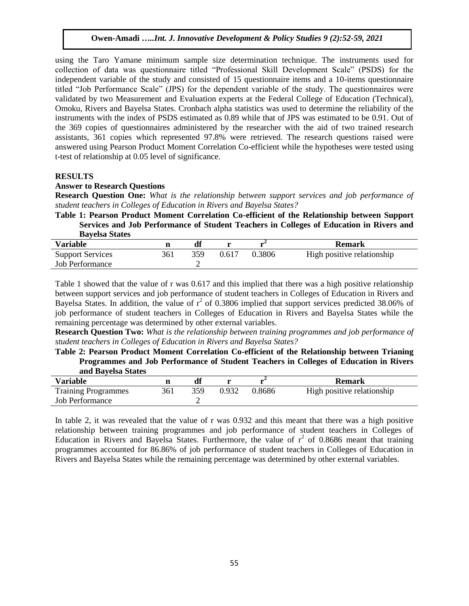using the Taro Yamane minimum sample size determination technique. The instruments used for collection of data was questionnaire titled "Professional Skill Development Scale" (PSDS) for the independent variable of the study and consisted of 15 questionnaire items and a 10-items questionnaire titled "Job Performance Scale" (JPS) for the dependent variable of the study. The questionnaires were validated by two Measurement and Evaluation experts at the Federal College of Education (Technical), Omoku, Rivers and Bayelsa States. Cronbach alpha statistics was used to determine the reliability of the instruments with the index of PSDS estimated as 0.89 while that of JPS was estimated to be 0.91. Out of the 369 copies of questionnaires administered by the researcher with the aid of two trained research assistants, 361 copies which represented 97.8% were retrieved. The research questions raised were answered using Pearson Product Moment Correlation Co-efficient while the hypotheses were tested using t-test of relationship at 0.05 level of significance.

#### **RESULTS**

#### **Answer to Research Questions**

**Research Question One:** *What is the relationship between support services and job performance of student teachers in Colleges of Education in Rivers and Bayelsa States?*

**Table 1: Pearson Product Moment Correlation Co-efficient of the Relationship between Support Services and Job Performance of Student Teachers in Colleges of Education in Rivers and Bayelsa States**

| ---------------         |     |     |       |        |                            |
|-------------------------|-----|-----|-------|--------|----------------------------|
| <b>Variable</b>         |     |     |       |        | <b>Remark</b>              |
| <b>Support Services</b> | 361 | 359 | 0.617 | 0.3806 | High positive relationship |
| <b>Job Performance</b>  |     |     |       |        |                            |
|                         |     |     |       |        |                            |

Table 1 showed that the value of r was 0.617 and this implied that there was a high positive relationship between support services and job performance of student teachers in Colleges of Education in Rivers and Bayelsa States. In addition, the value of  $r^2$  of 0.3806 implied that support services predicted 38.06% of job performance of student teachers in Colleges of Education in Rivers and Bayelsa States while the remaining percentage was determined by other external variables.

**Research Question Two:** *What is the relationship between training programmes and job performance of student teachers in Colleges of Education in Rivers and Bayelsa States?*

**Table 2: Pearson Product Moment Correlation Co-efficient of the Relationship between Trianing Programmes and Job Performance of Student Teachers in Colleges of Education in Rivers and Bayelsa States**

| and Davelsa Diales         |     |     |       |        |                            |
|----------------------------|-----|-----|-------|--------|----------------------------|
| <b>Variable</b>            |     |     |       |        | Remark                     |
| <b>Training Programmes</b> | 361 | 359 | 0.932 | 0.8686 | High positive relationship |
| Job Performance            |     |     |       |        |                            |

In table 2, it was revealed that the value of r was 0.932 and this meant that there was a high positive relationship between training programmes and job performance of student teachers in Colleges of Education in Rivers and Bayelsa States. Furthermore, the value of  $r^2$  of 0.8686 meant that training programmes accounted for 86.86% of job performance of student teachers in Colleges of Education in Rivers and Bayelsa States while the remaining percentage was determined by other external variables.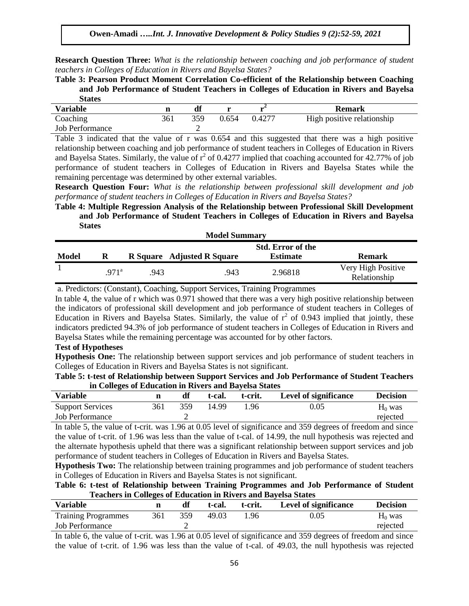**Research Question Three:** *What is the relationship between coaching and job performance of student teachers in Colleges of Education in Rivers and Bayelsa States?*

**Table 3: Pearson Product Moment Correlation Co-efficient of the Relationship between Coaching and Job Performance of Student Teachers in Colleges of Education in Rivers and Bayelsa States**

| -------                |     |     |       |        |                            |
|------------------------|-----|-----|-------|--------|----------------------------|
| <b>Variable</b>        |     |     |       |        | <b>Remark</b>              |
| Coaching               | 361 | 359 | 0.654 | 0.4277 | High positive relationship |
| <b>Job Performance</b> |     |     |       |        |                            |
|                        |     |     |       |        |                            |

Table 3 indicated that the value of r was 0.654 and this suggested that there was a high positive relationship between coaching and job performance of student teachers in Colleges of Education in Rivers and Bayelsa States. Similarly, the value of  $r^2$  of 0.4277 implied that coaching accounted for 42.77% of job performance of student teachers in Colleges of Education in Rivers and Bayelsa States while the remaining percentage was determined by other external variables.

**Research Question Four:** *What is the relationship between professional skill development and job performance of student teachers in Colleges of Education in Rivers and Bayelsa States?*

# **Table 4: Multiple Regression Analysis of the Relationship between Professional Skill Development and Job Performance of Student Teachers in Colleges of Education in Rivers and Bayelsa States**

| <b>Model Summary</b> |                  |      |                            |                          |                    |  |  |  |  |
|----------------------|------------------|------|----------------------------|--------------------------|--------------------|--|--|--|--|
|                      |                  |      |                            | <b>Std. Error of the</b> |                    |  |  |  |  |
| <b>Model</b>         | R                |      | R Square Adjusted R Square | <b>Estimate</b>          | <b>Remark</b>      |  |  |  |  |
|                      | 971 <sup>a</sup> | .943 | .943                       | 2.96818                  | Very High Positive |  |  |  |  |
|                      |                  |      |                            |                          | Relationship       |  |  |  |  |

a. Predictors: (Constant), Coaching, Support Services, Training Programmes

In table 4, the value of r which was 0.971 showed that there was a very high positive relationship between the indicators of professional skill development and job performance of student teachers in Colleges of Education in Rivers and Bayelsa States. Similarly, the value of  $r^2$  of 0.943 implied that jointly, these indicators predicted 94.3% of job performance of student teachers in Colleges of Education in Rivers and Bayelsa States while the remaining percentage was accounted for by other factors.

# **Test of Hypotheses**

**Hypothesis One:** The relationship between support services and job performance of student teachers in Colleges of Education in Rivers and Bayelsa States is not significant.

| Table 5: t-test of Relationship between Support Services and Job Performance of Student Teachers |  |
|--------------------------------------------------------------------------------------------------|--|
| in Colleges of Education in Rivers and Bayelsa States                                            |  |

| <b>Variable</b>         |     |     | t-cal. | t-crit. | <b>Level of significance</b> | <b>Decision</b> |
|-------------------------|-----|-----|--------|---------|------------------------------|-----------------|
| <b>Support Services</b> | 361 | 359 | 14.99  | 1.96    | 0.05                         | $H_0$ was       |
| <b>Job Performance</b>  |     |     |        |         |                              | rejected        |

In table 5, the value of t-crit. was 1.96 at 0.05 level of significance and 359 degrees of freedom and since the value of t-crit. of 1.96 was less than the value of t-cal. of 14.99, the null hypothesis was rejected and the alternate hypothesis upheld that there was a significant relationship between support services and job performance of student teachers in Colleges of Education in Rivers and Bayelsa States.

**Hypothesis Two:** The relationship between training programmes and job performance of student teachers in Colleges of Education in Rivers and Bayelsa States is not significant.

**Table 6: t-test of Relationship between Training Programmes and Job Performance of Student Teachers in Colleges of Education in Rivers and Bayelsa States**

| <b>Variable</b>            |     | df  | t-cal. | t-crit. | Level of significance | <b>Decision</b> |
|----------------------------|-----|-----|--------|---------|-----------------------|-----------------|
| <b>Training Programmes</b> | 361 | 359 | 49.03  | 1.96    | 0.05                  | $H_0$ was       |
| <b>Job Performance</b>     |     | -   |        |         |                       | rejected        |

In table 6, the value of t-crit. was 1.96 at 0.05 level of significance and 359 degrees of freedom and since the value of t-crit. of 1.96 was less than the value of t-cal. of 49.03, the null hypothesis was rejected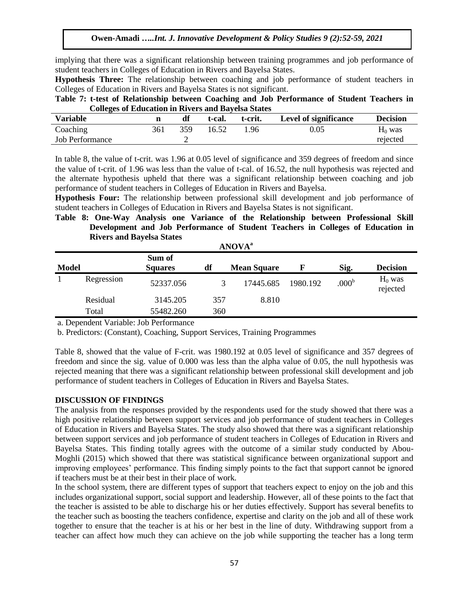implying that there was a significant relationship between training programmes and job performance of student teachers in Colleges of Education in Rivers and Bayelsa States.

**Hypothesis Three:** The relationship between coaching and job performance of student teachers in Colleges of Education in Rivers and Bayelsa States is not significant.

**Table 7: t-test of Relationship between Coaching and Job Performance of Student Teachers in Colleges of Education in Rivers and Bayelsa States**

| <b>Variable</b>        |     | df  | t-cal. | t-crit. | Level of significance | <b>Decision</b> |
|------------------------|-----|-----|--------|---------|-----------------------|-----------------|
| Coaching               | 361 | 359 | 16.52  | 1.96    | $0.05\,$              | $H_0$ was       |
| <b>Job Performance</b> |     |     |        |         |                       | rejected        |

In table 8, the value of t-crit. was 1.96 at 0.05 level of significance and 359 degrees of freedom and since the value of t-crit. of 1.96 was less than the value of t-cal. of 16.52, the null hypothesis was rejected and the alternate hypothesis upheld that there was a significant relationship between coaching and job performance of student teachers in Colleges of Education in Rivers and Bayelsa.

**Hypothesis Four:** The relationship between professional skill development and job performance of student teachers in Colleges of Education in Rivers and Bayelsa States is not significant.

**Table 8: One-Way Analysis one Variance of the Relationship between Professional Skill Development and Job Performance of Student Teachers in Colleges of Education in Rivers and Bayelsa States ANOVA<sup>a</sup>**

|              | ANUVA      |                          |     |                    |          |                   |                       |  |  |  |  |
|--------------|------------|--------------------------|-----|--------------------|----------|-------------------|-----------------------|--|--|--|--|
| <b>Model</b> |            | Sum of<br><b>Squares</b> | df  | <b>Mean Square</b> |          | Sig.              | <b>Decision</b>       |  |  |  |  |
|              | Regression | 52337.056                |     | 17445.685          | 1980.192 | .000 <sup>b</sup> | $H_0$ was<br>rejected |  |  |  |  |
|              | Residual   | 3145.205                 | 357 | 8.810              |          |                   |                       |  |  |  |  |
|              | Total      | 55482.260                | 360 |                    |          |                   |                       |  |  |  |  |

a. Dependent Variable: Job Performance

b. Predictors: (Constant), Coaching, Support Services, Training Programmes

Table 8, showed that the value of F-crit. was 1980.192 at 0.05 level of significance and 357 degrees of freedom and since the sig. value of 0.000 was less than the alpha value of 0.05, the null hypothesis was rejected meaning that there was a significant relationship between professional skill development and job performance of student teachers in Colleges of Education in Rivers and Bayelsa States.

#### **DISCUSSION OF FINDINGS**

The analysis from the responses provided by the respondents used for the study showed that there was a high positive relationship between support services and job performance of student teachers in Colleges of Education in Rivers and Bayelsa States. The study also showed that there was a significant relationship between support services and job performance of student teachers in Colleges of Education in Rivers and Bayelsa States. This finding totally agrees with the outcome of a similar study conducted by Abou-Moghli (2015) which showed that there was statistical significance between organizational support and improving employees' performance. This finding simply points to the fact that support cannot be ignored if teachers must be at their best in their place of work.

In the school system, there are different types of support that teachers expect to enjoy on the job and this includes organizational support, social support and leadership. However, all of these points to the fact that the teacher is assisted to be able to discharge his or her duties effectively. Support has several benefits to the teacher such as boosting the teachers confidence, expertise and clarity on the job and all of these work together to ensure that the teacher is at his or her best in the line of duty. Withdrawing support from a teacher can affect how much they can achieve on the job while supporting the teacher has a long term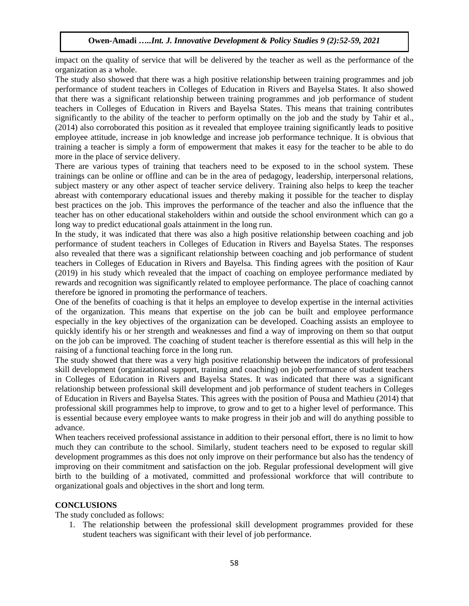impact on the quality of service that will be delivered by the teacher as well as the performance of the organization as a whole.

The study also showed that there was a high positive relationship between training programmes and job performance of student teachers in Colleges of Education in Rivers and Bayelsa States. It also showed that there was a significant relationship between training programmes and job performance of student teachers in Colleges of Education in Rivers and Bayelsa States. This means that training contributes significantly to the ability of the teacher to perform optimally on the job and the study by Tahir et al., (2014) also corroborated this position as it revealed that employee training significantly leads to positive employee attitude, increase in job knowledge and increase job performance technique. It is obvious that training a teacher is simply a form of empowerment that makes it easy for the teacher to be able to do more in the place of service delivery.

There are various types of training that teachers need to be exposed to in the school system. These trainings can be online or offline and can be in the area of pedagogy, leadership, interpersonal relations, subject mastery or any other aspect of teacher service delivery. Training also helps to keep the teacher abreast with contemporary educational issues and thereby making it possible for the teacher to display best practices on the job. This improves the performance of the teacher and also the influence that the teacher has on other educational stakeholders within and outside the school environment which can go a long way to predict educational goals attainment in the long run.

In the study, it was indicated that there was also a high positive relationship between coaching and job performance of student teachers in Colleges of Education in Rivers and Bayelsa States. The responses also revealed that there was a significant relationship between coaching and job performance of student teachers in Colleges of Education in Rivers and Bayelsa. This finding agrees with the position of Kaur (2019) in his study which revealed that the impact of coaching on employee performance mediated by rewards and recognition was significantly related to employee performance. The place of coaching cannot therefore be ignored in promoting the performance of teachers.

One of the benefits of coaching is that it helps an employee to develop expertise in the internal activities of the organization. This means that expertise on the job can be built and employee performance especially in the key objectives of the organization can be developed. Coaching assists an employee to quickly identify his or her strength and weaknesses and find a way of improving on them so that output on the job can be improved. The coaching of student teacher is therefore essential as this will help in the raising of a functional teaching force in the long run.

The study showed that there was a very high positive relationship between the indicators of professional skill development (organizational support, training and coaching) on job performance of student teachers in Colleges of Education in Rivers and Bayelsa States. It was indicated that there was a significant relationship between professional skill development and job performance of student teachers in Colleges of Education in Rivers and Bayelsa States. This agrees with the position of Pousa and Mathieu (2014) that professional skill programmes help to improve, to grow and to get to a higher level of performance. This is essential because every employee wants to make progress in their job and will do anything possible to advance.

When teachers received professional assistance in addition to their personal effort, there is no limit to how much they can contribute to the school. Similarly, student teachers need to be exposed to regular skill development programmes as this does not only improve on their performance but also has the tendency of improving on their commitment and satisfaction on the job. Regular professional development will give birth to the building of a motivated, committed and professional workforce that will contribute to organizational goals and objectives in the short and long term.

# **CONCLUSIONS**

The study concluded as follows:

1. The relationship between the professional skill development programmes provided for these student teachers was significant with their level of job performance.